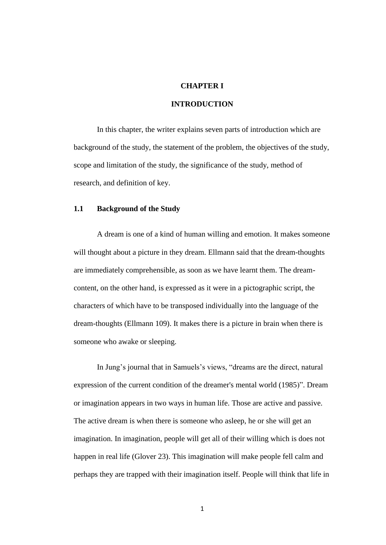#### **CHAPTER I**

## **INTRODUCTION**

In this chapter, the writer explains seven parts of introduction which are background of the study, the statement of the problem, the objectives of the study, scope and limitation of the study, the significance of the study, method of research, and definition of key.

#### **1.1 Background of the Study**

A dream is one of a kind of human willing and emotion. It makes someone will thought about a picture in they dream. Ellmann said that the dream-thoughts are immediately comprehensible, as soon as we have learnt them. The dreamcontent, on the other hand, is expressed as it were in a pictographic script, the characters of which have to be transposed individually into the language of the dream-thoughts (Ellmann 109). It makes there is a picture in brain when there is someone who awake or sleeping.

In Jung's journal that in Samuels's views, "dreams are the direct, natural expression of the current condition of the dreamer's mental world (1985)". Dream or imagination appears in two ways in human life. Those are active and passive. The active dream is when there is someone who asleep, he or she will get an imagination. In imagination, people will get all of their willing which is does not happen in real life (Glover 23). This imagination will make people fell calm and perhaps they are trapped with their imagination itself. People will think that life in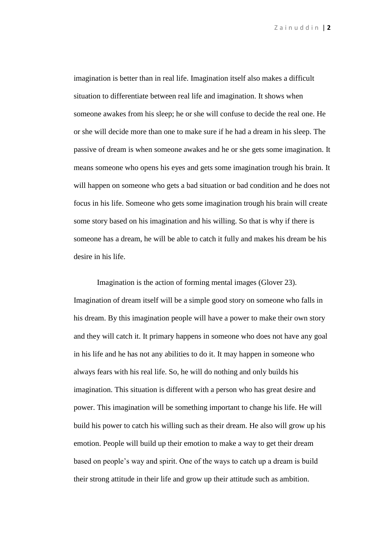Z a i n u d d i n | **2**

imagination is better than in real life. Imagination itself also makes a difficult situation to differentiate between real life and imagination. It shows when someone awakes from his sleep; he or she will confuse to decide the real one. He or she will decide more than one to make sure if he had a dream in his sleep. The passive of dream is when someone awakes and he or she gets some imagination. It means someone who opens his eyes and gets some imagination trough his brain. It will happen on someone who gets a bad situation or bad condition and he does not focus in his life. Someone who gets some imagination trough his brain will create some story based on his imagination and his willing. So that is why if there is someone has a dream, he will be able to catch it fully and makes his dream be his desire in his life.

Imagination is the action of forming mental images (Glover 23). Imagination of dream itself will be a simple good story on someone who falls in his dream. By this imagination people will have a power to make their own story and they will catch it. It primary happens in someone who does not have any goal in his life and he has not any abilities to do it. It may happen in someone who always fears with his real life. So, he will do nothing and only builds his imagination. This situation is different with a person who has great desire and power. This imagination will be something important to change his life. He will build his power to catch his willing such as their dream. He also will grow up his emotion. People will build up their emotion to make a way to get their dream based on people's way and spirit. One of the ways to catch up a dream is build their strong attitude in their life and grow up their attitude such as ambition.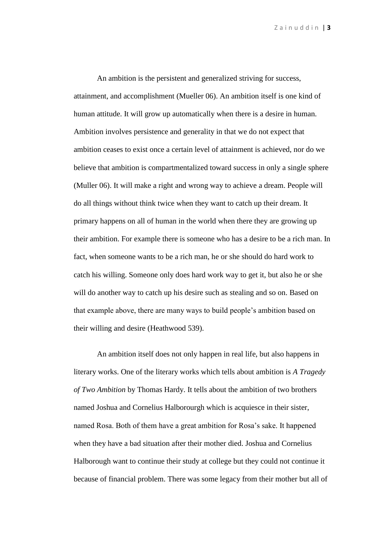Z a i n u d d i n | **3**

An ambition is the persistent and generalized striving for success, attainment, and accomplishment (Mueller 06). An ambition itself is one kind of human attitude. It will grow up automatically when there is a desire in human. Ambition involves persistence and generality in that we do not expect that ambition ceases to exist once a certain level of attainment is achieved, nor do we believe that ambition is compartmentalized toward success in only a single sphere (Muller 06). It will make a right and wrong way to achieve a dream. People will do all things without think twice when they want to catch up their dream. It primary happens on all of human in the world when there they are growing up their ambition. For example there is someone who has a desire to be a rich man. In fact, when someone wants to be a rich man, he or she should do hard work to catch his willing. Someone only does hard work way to get it, but also he or she will do another way to catch up his desire such as stealing and so on. Based on that example above, there are many ways to build people's ambition based on their willing and desire (Heathwood 539).

An ambition itself does not only happen in real life, but also happens in literary works. One of the literary works which tells about ambition is *A Tragedy of Two Ambition* by Thomas Hardy. It tells about the ambition of two brothers named Joshua and Cornelius Halborourgh which is acquiesce in their sister, named Rosa. Both of them have a great ambition for Rosa's sake. It happened when they have a bad situation after their mother died. Joshua and Cornelius Halborough want to continue their study at college but they could not continue it because of financial problem. There was some legacy from their mother but all of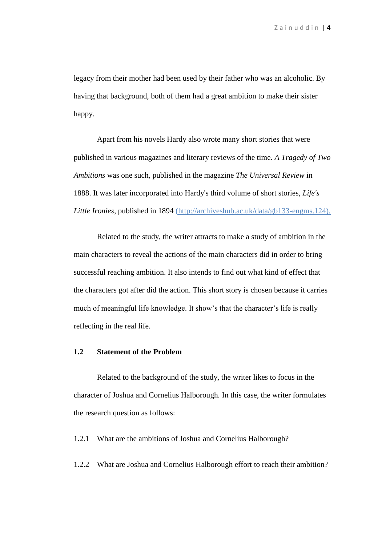legacy from their mother had been used by their father who was an alcoholic. By having that background, both of them had a great ambition to make their sister happy.

Apart from his novels Hardy also wrote many short stories that were published in various magazines and literary reviews of the time. *A Tragedy of Two Ambitions* was one such, published in the magazine *The Universal Review* in 1888. It was later incorporated into Hardy's third volume of short stories, *Life's Little Ironies*, published in 1894 [\(http://archiveshub.ac.uk/data/gb133-engms.124\)](http://archiveshub.ac.uk/data/gb133-engms.124).

Related to the study, the writer attracts to make a study of ambition in the main characters to reveal the actions of the main characters did in order to bring successful reaching ambition. It also intends to find out what kind of effect that the characters got after did the action. This short story is chosen because it carries much of meaningful life knowledge. It show's that the character's life is really reflecting in the real life.

#### **1.2 Statement of the Problem**

Related to the background of the study, the writer likes to focus in the character of Joshua and Cornelius Halborough*.* In this case, the writer formulates the research question as follows:

1.2.1 What are the ambitions of Joshua and Cornelius Halborough?

1.2.2 What are Joshua and Cornelius Halborough effort to reach their ambition?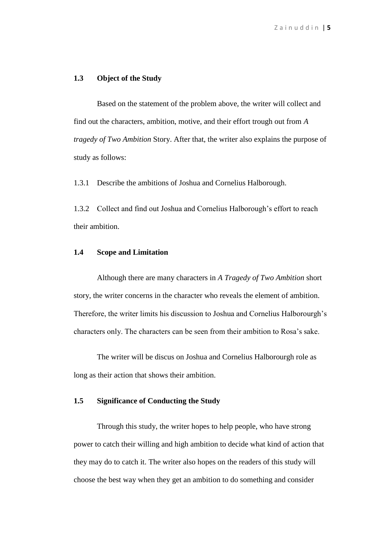## **1.3 Object of the Study**

Based on the statement of the problem above, the writer will collect and find out the characters, ambition, motive, and their effort trough out from *A tragedy of Two Ambition* Story. After that, the writer also explains the purpose of study as follows:

1.3.1 Describe the ambitions of Joshua and Cornelius Halborough.

1.3.2 Collect and find out Joshua and Cornelius Halborough's effort to reach their ambition.

## **1.4 Scope and Limitation**

Although there are many characters in *A Tragedy of Two Ambition* short story, the writer concerns in the character who reveals the element of ambition. Therefore, the writer limits his discussion to Joshua and Cornelius Halborourgh's characters only. The characters can be seen from their ambition to Rosa's sake.

The writer will be discus on Joshua and Cornelius Halborourgh role as long as their action that shows their ambition.

# **1.5 Significance of Conducting the Study**

Through this study, the writer hopes to help people, who have strong power to catch their willing and high ambition to decide what kind of action that they may do to catch it. The writer also hopes on the readers of this study will choose the best way when they get an ambition to do something and consider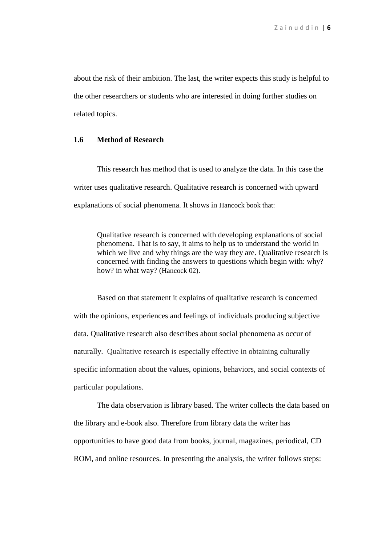about the risk of their ambition. The last, the writer expects this study is helpful to the other researchers or students who are interested in doing further studies on related topics.

#### **1.6 Method of Research**

This research has method that is used to analyze the data. In this case the writer uses qualitative research. Qualitative research is concerned with upward explanations of social phenomena. It shows in Hancock book that:

Qualitative research is concerned with developing explanations of social phenomena. That is to say, it aims to help us to understand the world in which we live and why things are the way they are. Qualitative research is concerned with finding the answers to questions which begin with: why? how? in what way? (Hancock 02).

Based on that statement it explains of qualitative research is concerned with the opinions, experiences and feelings of individuals producing subjective data. Qualitative research also describes about social phenomena as occur of naturally. Qualitative research is especially effective in obtaining culturally specific information about the values, opinions, behaviors, and social contexts of particular populations.

The data observation is library based. The writer collects the data based on the library and e-book also. Therefore from library data the writer has opportunities to have good data from books, journal, magazines, periodical, CD ROM, and online resources. In presenting the analysis, the writer follows steps: